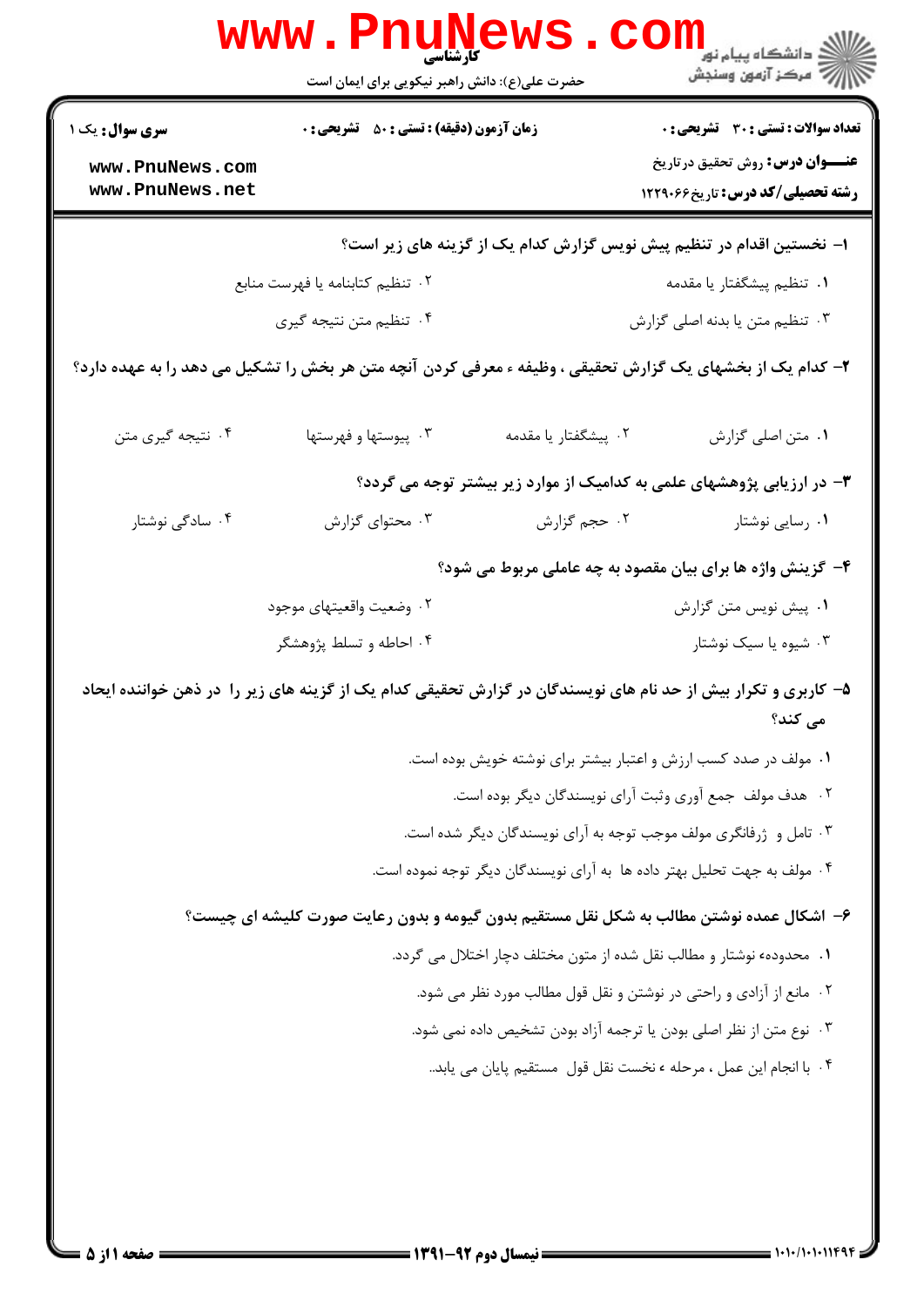|                                    | <b>WWW</b><br>حضرت علی(ع): دانش راهبر نیکویی برای ایمان است                                                    |                                                                          | <sup>ار</sup> دانشگاه پيام نور <mark>−</mark><br>ار∕ مرکز آزمون وسنجش              |
|------------------------------------|----------------------------------------------------------------------------------------------------------------|--------------------------------------------------------------------------|------------------------------------------------------------------------------------|
| <b>سری سوال :</b> یک ۱             | <b>زمان آزمون (دقیقه) : تستی : 80 ٪ تشریحی : 0</b>                                                             |                                                                          | <b>تعداد سوالات : تستی : 30 ٪ تشریحی : 0</b>                                       |
| www.PnuNews.com<br>www.PnuNews.net |                                                                                                                |                                                                          | <b>عنـــوان درس:</b> روش تحقیق درتاریخ<br><b>رشته تحصیلی/کد درس:</b> تاریخ ۱۲۲۹۰۶۶ |
|                                    |                                                                                                                | ا– نخستین اقدام در تنظیم پیش نویس گزارش کدام یک از گزینه های زیر است؟    |                                                                                    |
|                                    | ۰۲ تنظیم کتابنامه یا فهرست منابع                                                                               |                                                                          | ۰۱ تنظیم پیشگفتار یا مقدمه                                                         |
|                                    | ۰۴ تنظیم متن نتیجه گیری                                                                                        |                                                                          | ۰۳ تنظیم متن یا بدنه اصلی گزارش                                                    |
|                                    | ۲- کدام یک از بخشهای یک گزارش تحقیقی ، وظیفه ء معرفی کردن آنچه متن هر بخش را تشکیل می دهد را به عهده دارد؟     |                                                                          |                                                                                    |
| ۰۴ نتیجه گیری متن                  | ۰۳ پیوستها و فهرستها                                                                                           | ۰۲ پیشگفتار یا مقدمه                                                     | ٠١ متن اصلي گزارش                                                                  |
|                                    |                                                                                                                |                                                                          | ۳- در ارزیابی پژوهشهای علمی به کدامیک از موارد زیر بیشتر توجه می گردد؟             |
| ۰۴ سادگی نوشتار                    | ۰۳ محتوای گزارش                                                                                                | ٠٢ حجم گزارش                                                             | ۰۱ رسایی نوشتار                                                                    |
|                                    |                                                                                                                |                                                                          | ۴- گزینش واژه ها برای بیان مقصود به چه عاملی مربوط می شود؟                         |
|                                    | ۰۲ وضعیت واقعیتهای موجود                                                                                       |                                                                          | ۰۱ پیش نویس متن گزارش                                                              |
|                                    | ۰۴ احاطه و تسلط پژوهشگر                                                                                        |                                                                          | ۰۳ شیوه یا سیک نوشتار                                                              |
|                                    | ۵– کاربری و تکرار بیش از حد نام های نویسندگان در گزارش تحقیقی کدام یک از گزینه های زیر را در ذهن خواننده ایحاد |                                                                          | مے کند؟                                                                            |
|                                    |                                                                                                                | ۰۱ مولف در صدد کسب ارزش و اعتبار بیشتر برای نوشته خویش بوده است.         |                                                                                    |
|                                    |                                                                                                                | ٢. هدف مولف جمع آوري وثبت آراي نويسندگان ديگر بوده است.                  |                                                                                    |
|                                    |                                                                                                                | ۰۳ تامل و ژرفانگری مولف موجب توجه به آرای نویسندگان دیگر شده است.        |                                                                                    |
|                                    |                                                                                                                | ۰۴ مولف به جهت تحلیل بهتر داده ها به آرای نویسندگان دیگر توجه نموده است. |                                                                                    |
|                                    | ۶– اشکال عمده نوشتن مطالب به شکل نقل مستقیم بدون گیومه و بدون رعایت صورت کلیشه ای چیست؟                        |                                                                          |                                                                                    |
|                                    |                                                                                                                | ١.  محدودهء نوشتار و مطالب نقل شده از متون مختلف دچار اختلال می گردد.    |                                                                                    |
|                                    |                                                                                                                | ۰۲ مانع از آزادی و راحتی در نوشتن و نقل قول مطالب مورد نظر می شود.       |                                                                                    |
|                                    |                                                                                                                | ۰۳ نوع متن از نظر اصلی بودن یا ترجمه آزاد بودن تشخیص داده نمی شود.       |                                                                                    |
|                                    |                                                                                                                | ۰۴ با انجام این عمل ، مرحله ، نخست نقل قول  مستقیم پایان می یابد         |                                                                                    |
|                                    |                                                                                                                |                                                                          |                                                                                    |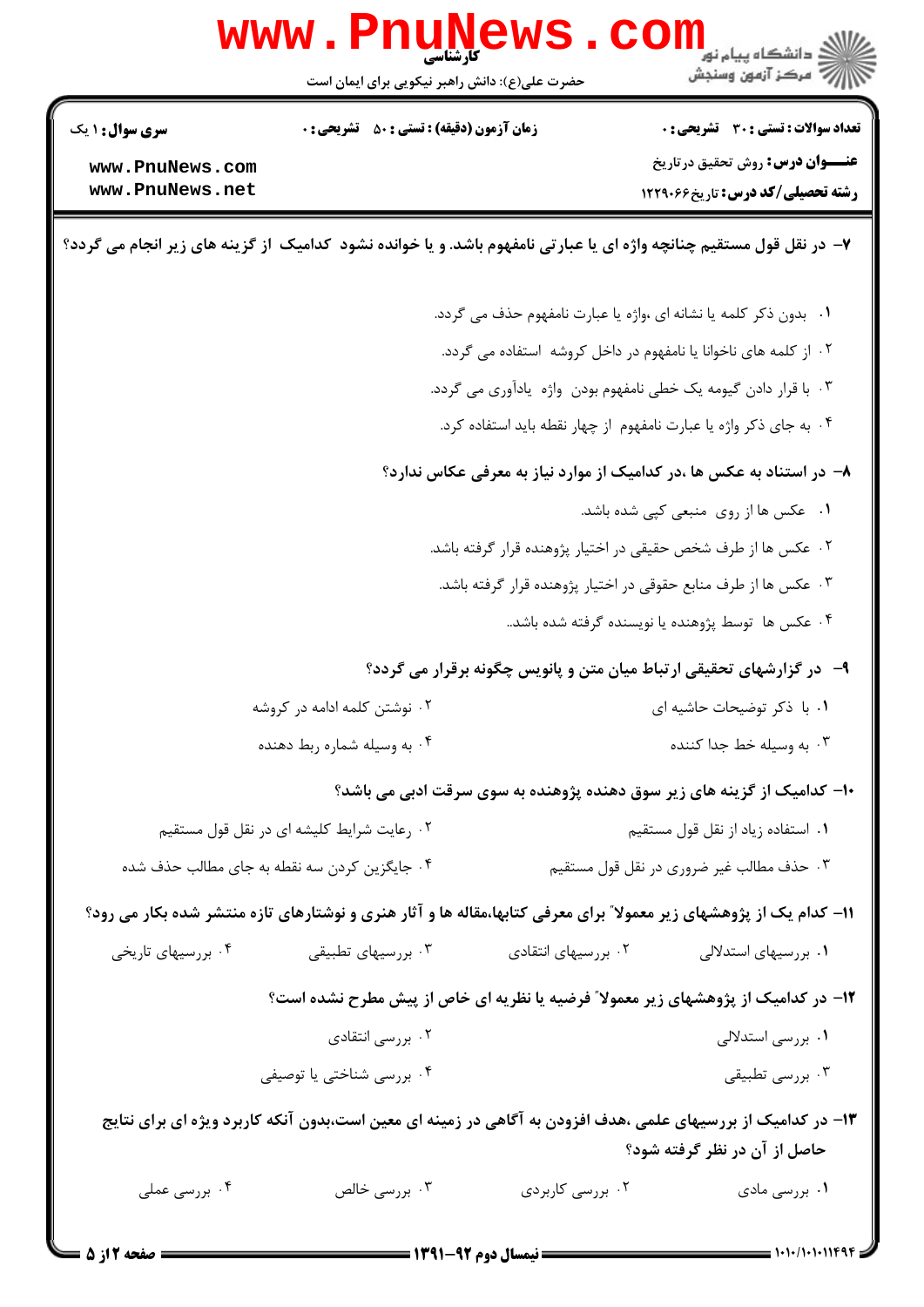|                                                                                                                     | <b>www.PnuNews</b>                                             |                                   | <mark>د</mark> دانشگاه پيام نور<br>// مرکز آزمون وسنجش                                                              |
|---------------------------------------------------------------------------------------------------------------------|----------------------------------------------------------------|-----------------------------------|---------------------------------------------------------------------------------------------------------------------|
|                                                                                                                     | حضرت علی(ع): دانش راهبر نیکویی برای ایمان است                  |                                   |                                                                                                                     |
| <b>سری سوال :</b> ۱ یک                                                                                              | <b>زمان آزمون (دقیقه) : تستی : 50 ٪ تشریحی : 0</b>             |                                   | <b>تعداد سوالات : تستی : 30 ٪ تشریحی : 0</b>                                                                        |
| www.PnuNews.com<br>www.PnuNews.net                                                                                  |                                                                |                                   | <b>عنـــوان درس:</b> روش تحقیق درتاریخ<br><b>رشته تحصیلی/کد درس:</b> تاریخ44612 1229                                |
|                                                                                                                     |                                                                |                                   |                                                                                                                     |
| ۷- در نقل قول مستقیم چنانچه واژه ای یا عبارتی نامفهوم باشد. و یا خوانده نشود کدامیک از گزینه های زیر انجام می گردد؟ |                                                                |                                   |                                                                                                                     |
|                                                                                                                     |                                                                |                                   | ۰۱ بدون ذکر کلمه یا نشانه ای ،واژه یا عبارت نامفهوم حذف می گردد.                                                    |
|                                                                                                                     |                                                                |                                   | ۲. از کلمه های ناخوانا یا نامفهوم در داخل کروشه استفاده می گردد.                                                    |
| ۰۳ با قرار دادن گیومه یک خطی نامفهوم بودن واژه یادآوری می گردد.                                                     |                                                                |                                   |                                                                                                                     |
|                                                                                                                     |                                                                |                                   | ۰۴ به جای ذکر واژه یا عبارت نامفهوم از چهار نقطه باید استفاده کرد.                                                  |
|                                                                                                                     |                                                                |                                   | ۸– در استناد به عکس ها ،در کدامیک از موارد نیاز به معرفی عکاس ندارد؟                                                |
|                                                                                                                     |                                                                |                                   | ۰۱ عکس ها از روی منبعی کپی شده باشد.                                                                                |
|                                                                                                                     | ۲ . عکس ها از طرف شخص حقیقی در اختیار پژوهنده قرار گرفته باشد. |                                   |                                                                                                                     |
|                                                                                                                     |                                                                |                                   | ۰۳ عکس ها از طرف منابع حقوقی در اختیار پژوهنده قرار گرفته باشد.                                                     |
|                                                                                                                     |                                                                |                                   | ۰۴ عکس ها توسط پژوهنده یا نویسنده گرفته شده باشد                                                                    |
|                                                                                                                     |                                                                |                                   | ۹- در گزارشهای تحقیقی ارتباط میان متن و پانویس چگونه برقرار می گردد؟                                                |
|                                                                                                                     | ۰۲ نوشتن کلمه ادامه در کروشه                                   |                                   | ۰۱ با ذکر توضیحات حاشیه ای                                                                                          |
|                                                                                                                     | ۰۴ به وسیله شماره ربط دهنده                                    |                                   | ۰۳ به وسیله خط جدا کننده                                                                                            |
|                                                                                                                     |                                                                |                                   | ۱۰– کدامیک از گزینه های زیر سوق دهنده پژوهنده به سوی سرقت ادبی می باشد؟                                             |
| ۰۲ رعایت شرایط کلیشه ای در نقل قول مستقیم                                                                           |                                                                | ۰۱ استفاده زياد از نقل قول مستقيم |                                                                                                                     |
| ۰۴ جایگزین کردن سه نقطه به جای مطالب حذف شده                                                                        |                                                                |                                   | ۰۳ حذف مطالب غیر ضروری در نقل قول مستقیم                                                                            |
|                                                                                                                     |                                                                |                                   | 1۱– کدام یک از پژوهشهای زیر معمولا ؒ برای معرفی کتابها،مقاله ها و آثار هنری و نوشتارهای تازه منتشر شده بکار می رود؟ |
| ۰۴ بررسیهای تاریخی                                                                                                  | ۰۳ بررسیهای تطبیقی                                             | ۰۲ بررسیهای انتقادی               | ۰۱ بررسیهای استدلالی                                                                                                |
|                                                                                                                     |                                                                |                                   | ۱۲- در کدامیک از پژوهشهای زیر معمولا ً فرضیه یا نظریه ای خاص از پیش مطرح نشده است؟                                  |
|                                                                                                                     | ۰۲ بررسی انتقادی                                               |                                   | ۰۱ بررسی استدلالی                                                                                                   |
|                                                                                                                     | ۰۴ بررسی شناختی یا توصیفی                                      |                                   | ۰۳ بررسی تطبیقی                                                                                                     |
|                                                                                                                     |                                                                |                                   | ۱۳– در کدامیک از بررسیهای علمی ،هدف افزودن به آگاهی در زمینه ای معین است،بدون آنکه کاربرد ویژه ای برای نتایج        |
| ۰۴ بررسی عملی                                                                                                       | ۰۳ بررسی خالص                                                  | ۰۲ بررسی کاربردی                  | حاصل از آن در نظر گرفته شود؟<br>۰۱ بررسی مادی                                                                       |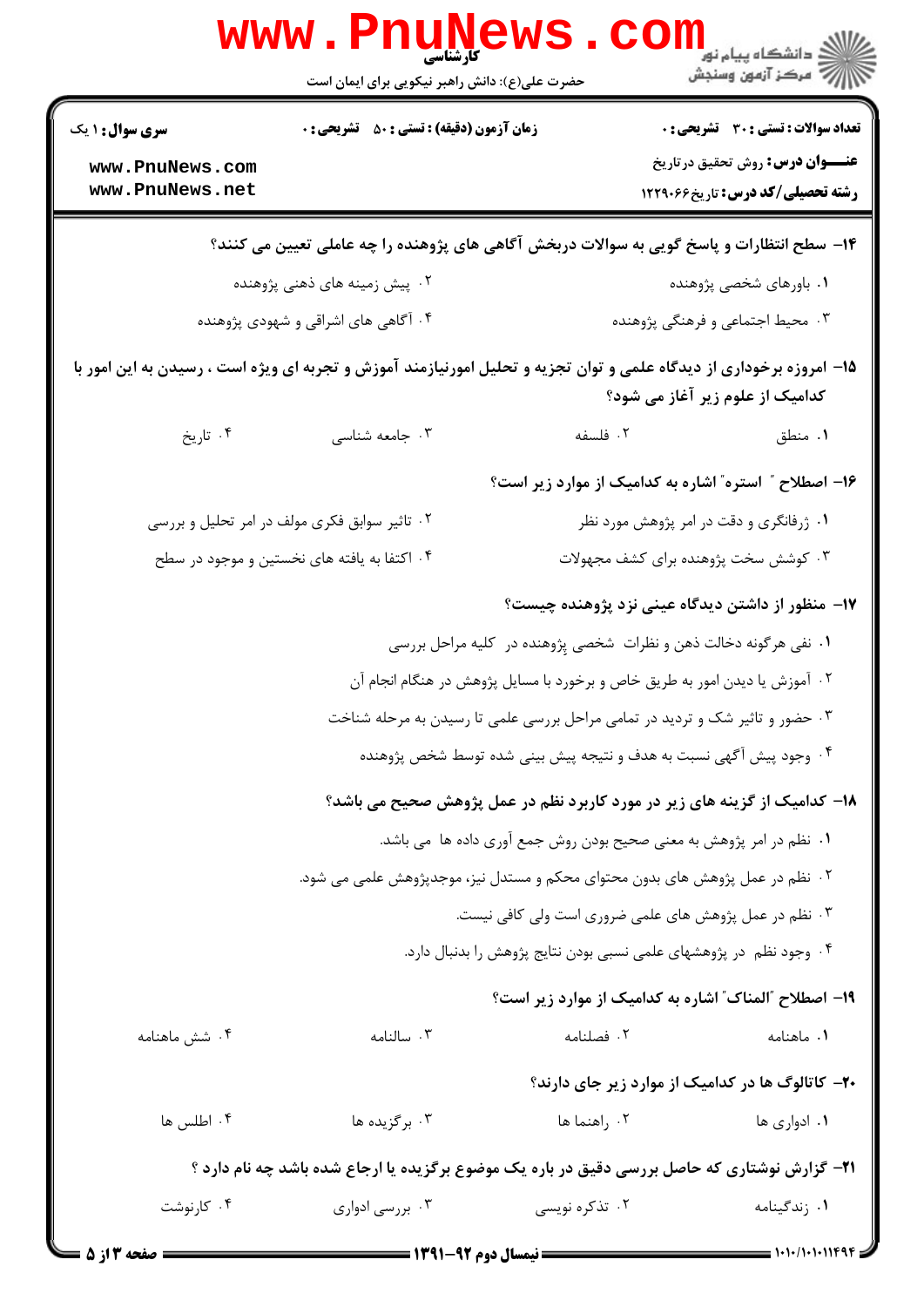| W W W                              | کارشناسی<br>حضرت علی(ع): دانش راهبر نیکویی برای ایمان است                                                            |                                                                    | ≦ دانشڪاه پيام نور<br>7- مرڪز آزمون وسنڊش             |  |
|------------------------------------|----------------------------------------------------------------------------------------------------------------------|--------------------------------------------------------------------|-------------------------------------------------------|--|
| <b>سری سوال : ۱ یک</b>             | <b>زمان آزمون (دقیقه) : تستی : 50 ٪ تشریحی : 0</b>                                                                   |                                                                    | <b>تعداد سوالات : تستی : 30 ٪ تشریحی : 0</b>          |  |
| www.PnuNews.com<br>www.PnuNews.net |                                                                                                                      |                                                                    | <b>عنـــوان درس:</b> روش تحقیق در تاریخ               |  |
|                                    |                                                                                                                      |                                                                    | <b>رشته تحصیلی/کد درس:</b> تاریخ99012 12              |  |
|                                    | ۱۴– سطح انتظارات و پاسخ گویی به سوالات دربخش آگاهی های پژوهنده را چه عاملی تعیین می کنند؟                            |                                                                    |                                                       |  |
|                                    | ۰۲ پیش زمینه های ذهنی پژوهنده                                                                                        | ۰۱ باورهای شخصی پژوهنده                                            |                                                       |  |
|                                    | ۰۳ محیط اجتماعی و فرهنگی پژوهنده<br>۰۴ آگاهی های اشراقی و شهودی پژوهنده                                              |                                                                    |                                                       |  |
|                                    | ۱۵– امروزه برخوداری از دیدگاه علمی و توان تجزیه و تحلیل امورنیازمند آموزش و تجربه ای ویژه است ، رسیدن به این امور با |                                                                    | کدامیک از علوم زیر آغاز می شود؟                       |  |
| ۰۴ تاریخ                           | ۰۳ جامعه شناسی                                                                                                       | ٢. فلسفه                                                           | ٠١. منطق                                              |  |
|                                    |                                                                                                                      |                                                                    | ۱۶- اصطلاح " استره" اشاره به کدامیک از موارد زیر است؟ |  |
|                                    | ۰۲ تاثیر سوابق فکری مولف در امر تحلیل و بررسی                                                                        |                                                                    | ۰۱ ژرفانگری و دقت در امر پژوهش مورد نظر               |  |
|                                    | ۰۴ اکتفا به یافته های نخستین و موجود در سطح                                                                          |                                                                    | ۰۳ کوشش سخت پژوهنده برای کشف مجهولات                  |  |
|                                    |                                                                                                                      |                                                                    | ۱۷– منظور از داشتن دیدگاه عینی نزد پژوهنده چیست؟      |  |
|                                    | ۰۱ نفی هرگونه دخالت ذهن و نظرات شخصی پِژوهنده در کلیه مراحل بررسی                                                    |                                                                    |                                                       |  |
|                                    | ۰۲ آموزش یا دیدن امور به طریق خاص و برخورد با مسایل پژوهش در هنگام انجام آن                                          |                                                                    |                                                       |  |
|                                    | ۰۳ حضور و تاثیر شک و تردید در تمامی مراحل بررسی علمی تا رسیدن به مرحله شناخت                                         |                                                                    |                                                       |  |
|                                    | ۰۴ وجود پیش آگهی نسبت به هدف و نتیجه پیش بینی شده توسط شخص پژوهنده                                                   |                                                                    |                                                       |  |
|                                    | ۱۸- کدامیک از گزینه های زیر در مورد کاربرد نظم در عمل پژوهش صحیح می باشد؟                                            |                                                                    |                                                       |  |
|                                    | ١. نظم در امر پژوهش به معنى صحيح بودن روش جمع آورى داده ها ًمى باشد.                                                 |                                                                    |                                                       |  |
|                                    | ۰۲ نظم در عمل پژوهش های بدون محتوای محکم و مستدل نیز، موجدپژوهش علمی می شود.                                         |                                                                    |                                                       |  |
|                                    |                                                                                                                      | ۰۳ نظم در عمل پژوهش های علمی ضروری است ولی کافی نیست.              |                                                       |  |
|                                    |                                                                                                                      | ۰۴ وجود نظم در پژوهشهای علمی نسبی بودن نتایج پژوهش را بدنبال دارد. |                                                       |  |
|                                    |                                                                                                                      |                                                                    | ۱۹- اصطلاح "المناك" اشاره به كداميك از موارد زير است؟ |  |
| ۰۴ شش ماهنامه                      | ۰۳ سالنامه                                                                                                           | ٠٢ فصلنامه                                                         | ٠١. ماهنامه                                           |  |
|                                    |                                                                                                                      |                                                                    | ۲۰– کاتالوگ ها در کدامیک از موارد زیر جای دارند؟      |  |
| ۰۴ اطلس ها                         | ۰۳ برگزیده ها                                                                                                        | ۰۲ راهنما ها                                                       | ۰۱ ادواری ها                                          |  |
|                                    | <b>۲۱</b> - گزارش نوشتاری که حاصل بررسی دقیق در باره یک موضوع برگزیده یا ارجاع شده باشد چه نام دارد ؟                |                                                                    |                                                       |  |
| ۰۴ کارنوشت                         | ۰۳ بررسی ادواری                                                                                                      | ۰۲ تذکره نویسی                                                     | ۰۱ زندگینامه                                          |  |
|                                    | $= 1491 - 94$ and $11$ is a second second $=$                                                                        |                                                                    |                                                       |  |

**DESIMATE** 

17

 $\sim$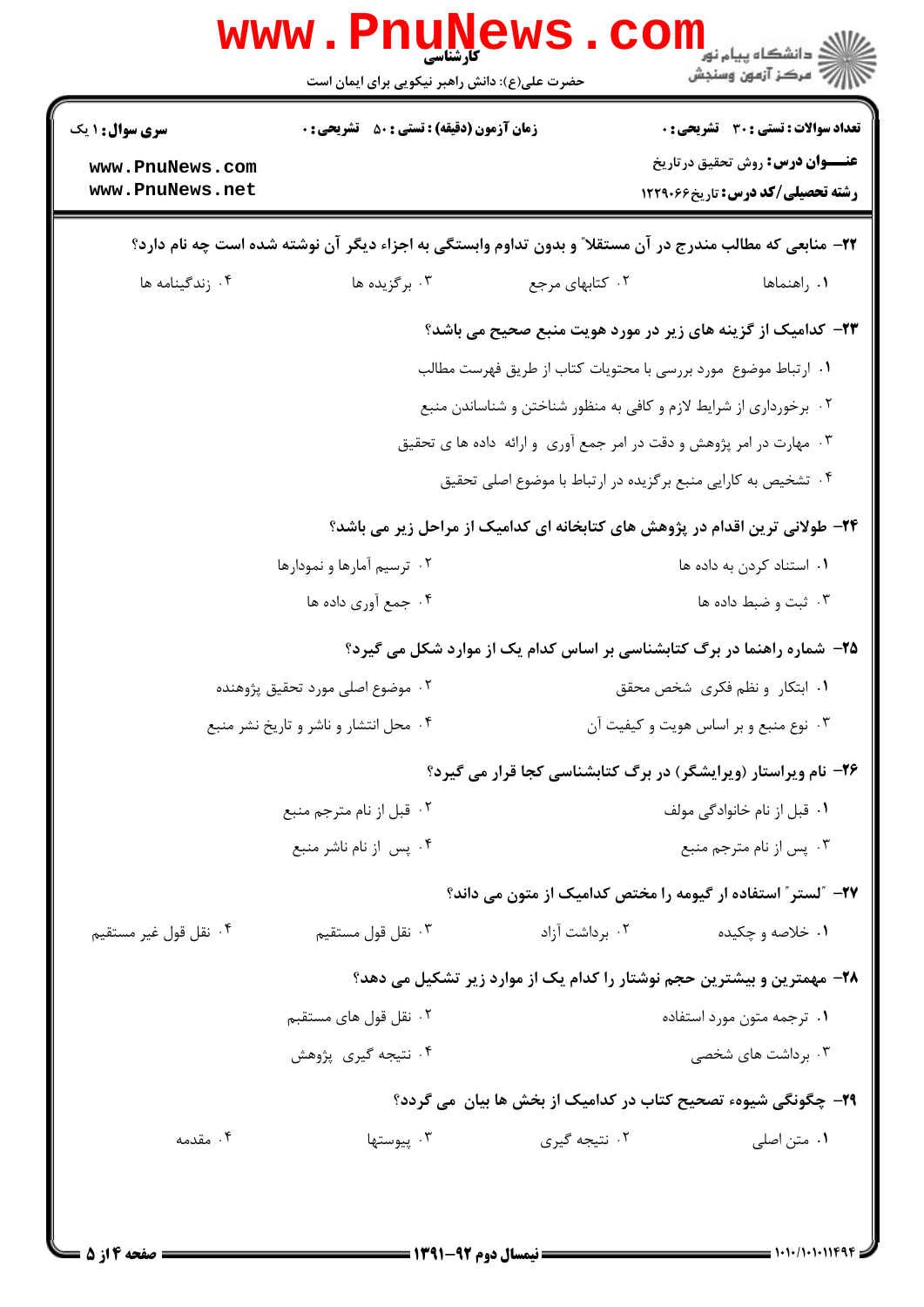| <b>سری سوال :</b> ۱ یک             | <b>زمان آزمون (دقیقه) : تستی : 50 ٪ تشریحی : 0</b> |                                                                                                           | <b>تعداد سوالات : تستی : 30 ٪ تشریحی : 0</b><br><b>عنـــوان درس:</b> روش تحقیق درتاریخ |
|------------------------------------|----------------------------------------------------|-----------------------------------------------------------------------------------------------------------|----------------------------------------------------------------------------------------|
| www.PnuNews.com<br>www.PnuNews.net |                                                    |                                                                                                           | <b>رشته تحصیلی/کد درس:</b> تاریخ496612                                                 |
|                                    |                                                    | ۲۲– منابعی که مطالب مندرج در آن مستقلا ّ و بدون تداوم وابستگی به اجزاء دیگر آن نوشته شده است چه نام دارد؟ |                                                                                        |
| ۰۴ زندگینامه ها                    | ۰۳ برگزیده ها                                      | ۰۲ کتابهای مرجع                                                                                           | ٠١. راهنماها                                                                           |
|                                    |                                                    | <b>۲۳</b> - کدامیک از گزینه های زیر در مورد هویت منبع صحیح می باشد؟                                       |                                                                                        |
|                                    |                                                    | ١. ارتباط موضوع مورد بررسي با محتويات كتاب از طريق فهرست مطالب                                            |                                                                                        |
|                                    |                                                    | ۰۲ برخورداری از شرایط لازم و کافی به منظور شناختن و شناساندن منبع                                         |                                                                                        |
|                                    |                                                    | ۰۳ مهارت در امر پژوهش و دقت در امر جمع آوری و ارائه داده ها ی تحقیق                                       |                                                                                        |
|                                    |                                                    | ۰۴ تشخیص به کارایی منبع برگزیده در ارتباط با موضوع اصلی تحقیق                                             |                                                                                        |
|                                    |                                                    | ۲۴- طولانی ترین اقدام در پژوهش های کتابخانه ای کدامیک از مراحل زیر می باشد؟                               |                                                                                        |
|                                    | ۰۲ ترسیم آمارها و نمودارها                         |                                                                                                           | ۰۱ استناد کردن به داده ها                                                              |
|                                    | ۰۴ جمع آوري داده ها                                |                                                                                                           | ۰۳ ثبت و ضبط داده ها                                                                   |
|                                    |                                                    | ۲۵- شماره راهنما در برگ کتابشناسی بر اساس کدام یک از موارد شکل می گیرد؟                                   |                                                                                        |
|                                    | ۰۲ موضوع اصلی مورد تحقیق پژوهنده                   |                                                                                                           | ٠١ ابتكار ونظم فكرى شخص محقق                                                           |
|                                    | ۰۴ محل انتشار و ناشر و تاریخ نشر منبع              |                                                                                                           | ۰۳ نوع منبع و بر اساس هویت و کیفیت آن                                                  |
|                                    |                                                    | ۲۶- نام ویراستار (ویرایشگر) در برگ کتابشناسی کجا قرار می گیرد؟                                            |                                                                                        |
|                                    | ۰۲ قبل از نام مترجم منبع                           |                                                                                                           | ۰۱ قبل از نام خانوادگی مولف                                                            |
|                                    | ۰۴ پس از نام ناشر منبع                             |                                                                                                           | ۰۳ پس از نام مترجم منبع                                                                |
|                                    |                                                    | ۲۷– ″لستر″ استفاده ار گیومه را مختص کدامیک از متون می داند؟                                               |                                                                                        |
| ۰۴ نقل قول غير مستقيم              | ۰۳ نقل قول مستقيم                                  | ۰۲ برداشت آزاد                                                                                            | ۰۱ خلاصه و چکیده                                                                       |
|                                    |                                                    | ۲۸- مهمترین و بیشترین حجم نوشتار را کدام یک از موارد زیر تشکیل می دهد؟                                    |                                                                                        |
|                                    | ۰۲ نقل قول های مستقبم                              |                                                                                                           | ۰۱ ترجمه متون مورد استفاده                                                             |
|                                    | ۰۴ نتیجه گیری پژوهش                                |                                                                                                           | ۰۳ برداشت های شخصی                                                                     |
|                                    |                                                    | ۲۹- چگونگی شیوهء تصحیح کتاب در کدامیک از بخش ها بیان  می گردد؟                                            |                                                                                        |
| ۰۴ مقدمه                           | ۰۳ پیوستها                                         | ۰۲ نتيجه گيري                                                                                             | ۰۱ متن اصلی                                                                            |